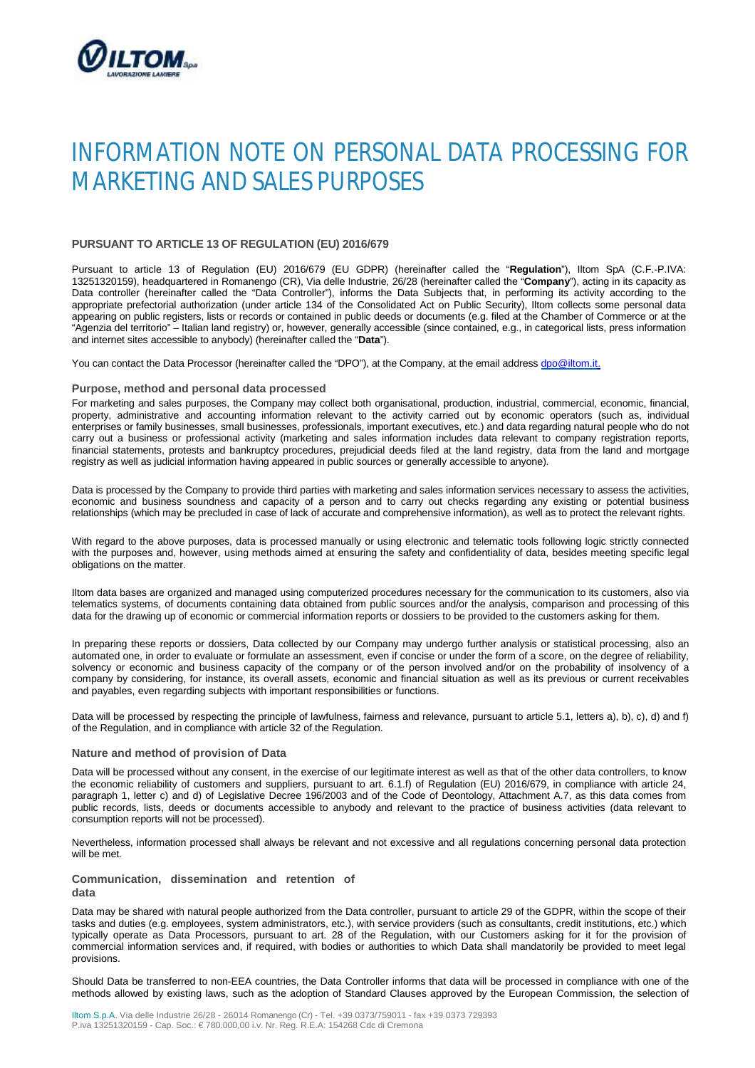

# *INFORMATION NOTE ON PERSONAL DATA PROCESSING FOR MARKETING AND SALES PURPOSES*

## **PURSUANT TO ARTICLE 13 OF REGULATION (EU) 2016/679**

Pursuant to article 13 of Regulation (EU) 2016/679 (EU GDPR) (hereinafter called the "**Regulation**"), Iltom SpA (C.F.-P.IVA: 13251320159), headquartered in Romanengo (CR), Via delle Industrie, 26/28 (hereinafter called the "**Company**"), acting in its capacity as Data controller (hereinafter called the "Data Controller"), informs the Data Subjects that, in performing its activity according to the appropriate prefectorial authorization (under article 134 of the Consolidated Act on Public Security), Iltom collects some personal data appearing on public registers, lists or records or contained in public deeds or documents (e.g. filed at the Chamber of Commerce or at the "Agenzia del territorio" – Italian land registry) or, however, generally accessible (since contained, e.g., in categorical lists, press information and internet sites accessible to anybody) (hereinafter called the "**Data**").

You can contact the Data Processor (hereinafter called the "DPO"), at the Company, at the email address [dpo@iltom.it](mailto:dpo@iltom.it).

#### **Purpose, method and personal data processed**

For marketing and sales purposes, the Company may collect both organisational, production, industrial, commercial, economic, financial, property, administrative and accounting information relevant to the activity carried out by economic operators (such as, individual enterprises or family businesses, small businesses, professionals, important executives, etc.) and data regarding natural people who do not carry out a business or professional activity (marketing and sales information includes data relevant to company registration reports, financial statements, protests and bankruptcy procedures, prejudicial deeds filed at the land registry, data from the land and mortgage registry as well as judicial information having appeared in public sources or generally accessible to anyone).

Data is processed by the Company to provide third parties with marketing and sales information services necessary to assess the activities, economic and business soundness and capacity of a person and to carry out checks regarding any existing or potential business relationships (which may be precluded in case of lack of accurate and comprehensive information), as well as to protect the relevant rights.

With regard to the above purposes, data is processed manually or using electronic and telematic tools following logic strictly connected with the purposes and, however, using methods aimed at ensuring the safety and confidentiality of data, besides meeting specific legal obligations on the matter.

Iltom data bases are organized and managed using computerized procedures necessary for the communication to its customers, also via telematics systems, of documents containing data obtained from public sources and/or the analysis, comparison and processing of this data for the drawing up of economic or commercial information reports or dossiers to be provided to the customers asking for them.

In preparing these reports or dossiers, Data collected by our Company may undergo further analysis or statistical processing, also an automated one, in order to evaluate or formulate an assessment, even if concise or under the form of a score, on the degree of reliability, solvency or economic and business capacity of the company or of the person involved and/or on the probability of insolvency of a company by considering, for instance, its overall assets, economic and financial situation as well as its previous or current receivables and payables, even regarding subjects with important responsibilities or functions.

Data will be processed by respecting the principle of lawfulness, fairness and relevance, pursuant to article 5.1, letters a), b), c), d) and f) of the Regulation, and in compliance with article 32 of the Regulation.

#### **Nature and method of provision of Data**

Data will be processed without any consent, in the exercise of our legitimate interest as well as that of the other data controllers, to know the economic reliability of customers and suppliers, pursuant to art. 6.1.f) of Regulation (EU) 2016/679, in compliance with article 24, paragraph 1, letter c) and d) of Legislative Decree 196/2003 and of the Code of Deontology, Attachment A.7, as this data comes from public records, lists, deeds or documents accessible to anybody and relevant to the practice of business activities (data relevant to consumption reports will not be processed).

Nevertheless, information processed shall always be relevant and not excessive and all regulations concerning personal data protection will be met.

### **Communication, dissemination and retention of data**

Data may be shared with natural people authorized from the Data controller, pursuant to article 29 of the GDPR, within the scope of their tasks and duties (e.g. employees, system administrators, etc.), with service providers (such as consultants, credit institutions, etc.) which typically operate as Data Processors, pursuant to art. 28 of the Regulation, with our Customers asking for it for the provision of commercial information services and, if required, with bodies or authorities to which Data shall mandatorily be provided to meet legal provisions.

Should Data be transferred to non-EEA countries, the Data Controller informs that data will be processed in compliance with one of the methods allowed by existing laws, such as the adoption of Standard Clauses approved by the European Commission, the selection of